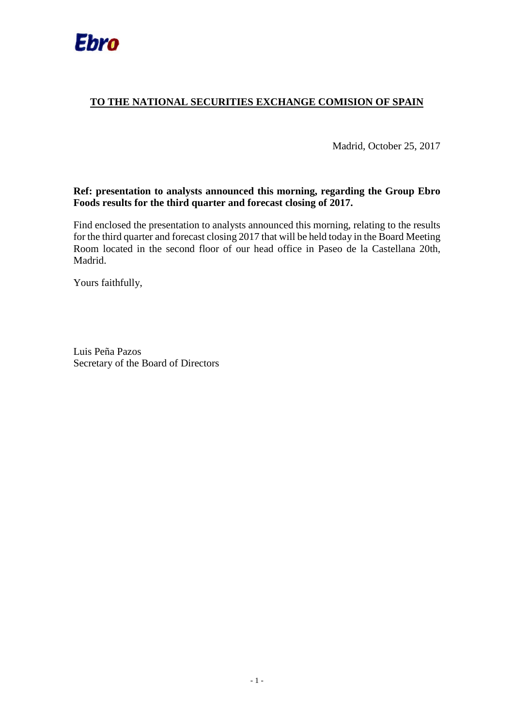

#### **TO THE NATIONAL SECURITIES EXCHANGE COMISION OF SPAIN**

Madrid, October 25, 2017

#### **Ref: presentation to analysts announced this morning, regarding the Group Ebro Foods results for the third quarter and forecast closing of 2017.**

Find enclosed the presentation to analysts announced this morning, relating to the results for the third quarter and forecast closing 2017 that will be held today in the Board Meeting Room located in the second floor of our head office in Paseo de la Castellana 20th, Madrid.

Yours faithfully,

Luis Peña Pazos Secretary of the Board of Directors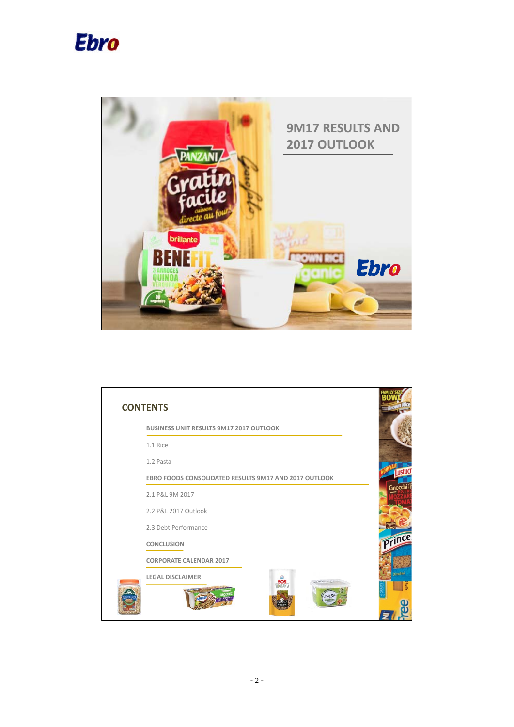



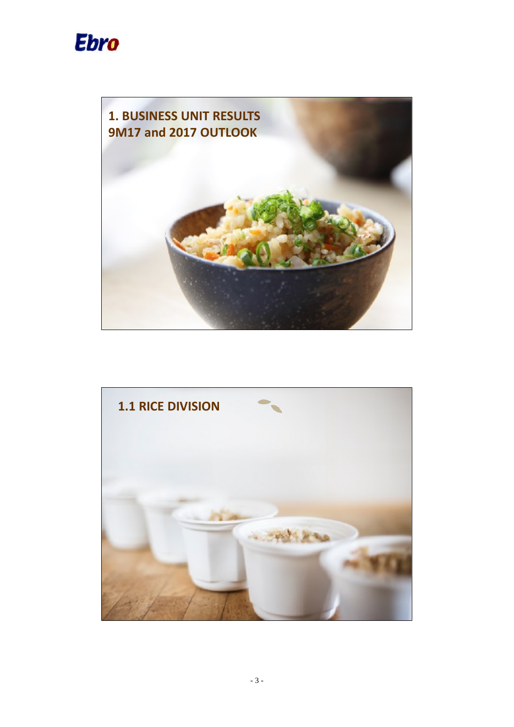



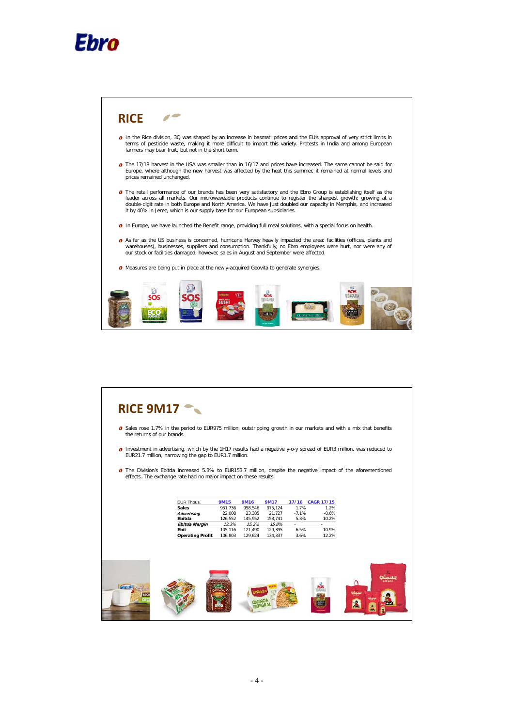



|                                                                  | the returns of our brands. |             |             |             |         |                  |                                                                                                                           |
|------------------------------------------------------------------|----------------------------|-------------|-------------|-------------|---------|------------------|---------------------------------------------------------------------------------------------------------------------------|
| EUR21.7 million, narrowing the gap to EUR1.7 million.            |                            |             |             |             |         |                  | <b>O</b> Investment in advertising, which by the 1H17 results had a negative y-o-y spread of EUR3 million, was reduced to |
|                                                                  |                            |             |             |             |         |                  |                                                                                                                           |
|                                                                  |                            |             |             |             |         |                  | <b>O</b> The Division's Ebitda increased 5.3% to EUR153.7 million, despite the negative impact of the aforementioned      |
| effects. The exchange rate had no major impact on these results. |                            |             |             |             |         |                  |                                                                                                                           |
|                                                                  |                            |             |             |             |         |                  |                                                                                                                           |
|                                                                  |                            |             |             |             |         |                  |                                                                                                                           |
|                                                                  |                            |             |             |             |         |                  |                                                                                                                           |
|                                                                  |                            |             |             |             |         |                  |                                                                                                                           |
|                                                                  | EUR Thous.                 | <b>9M15</b> | <b>9M16</b> | <b>9M17</b> |         | 17/16 CAGR 17/15 |                                                                                                                           |
|                                                                  | <b>Sales</b>               | 951.736     | 958,546     | 975,124     | 1.7%    | 1.2%             |                                                                                                                           |
|                                                                  | Advertising                | 22,008      | 23,385      | 21,727      | $-7.1%$ | $-0.6%$          |                                                                                                                           |
|                                                                  | Ebitda                     | 126,552     | 145,952     | 153,741     | 5.3%    | 10.2%            |                                                                                                                           |
|                                                                  | Ebitda Margin              | 13.3%       | 15.2%       | 15.8%       | $\sim$  | $\sim$           |                                                                                                                           |
|                                                                  | Ebit                       | 105,116     | 121,490     | 129,395     | 6.5%    | 10.9%            |                                                                                                                           |
|                                                                  | <b>Operating Profit</b>    | 106,803     | 129,624     | 134,337     | 3.6%    | 12.2%            |                                                                                                                           |
|                                                                  |                            |             |             |             |         |                  |                                                                                                                           |
|                                                                  |                            |             |             |             |         |                  |                                                                                                                           |
|                                                                  |                            |             |             |             |         |                  |                                                                                                                           |
|                                                                  |                            |             |             |             |         |                  |                                                                                                                           |
|                                                                  |                            |             |             |             |         |                  |                                                                                                                           |
|                                                                  |                            |             |             |             |         |                  |                                                                                                                           |
|                                                                  |                            |             |             |             |         |                  |                                                                                                                           |
|                                                                  |                            |             |             |             |         |                  |                                                                                                                           |
|                                                                  |                            |             |             |             |         |                  |                                                                                                                           |
| Minule                                                           |                            |             |             |             |         |                  |                                                                                                                           |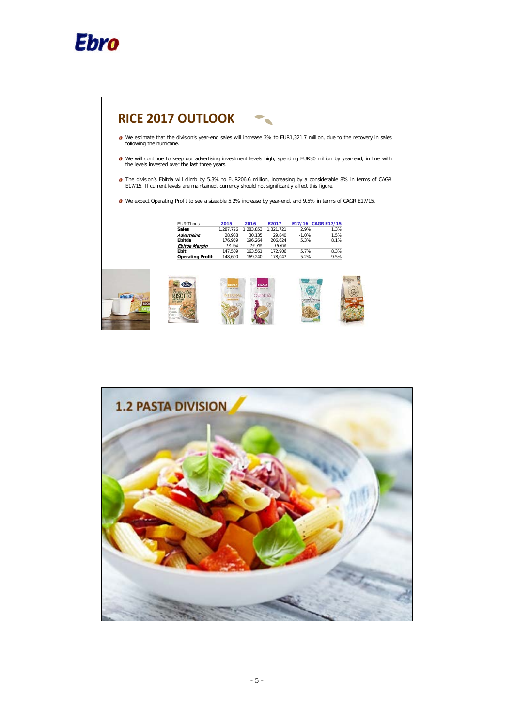



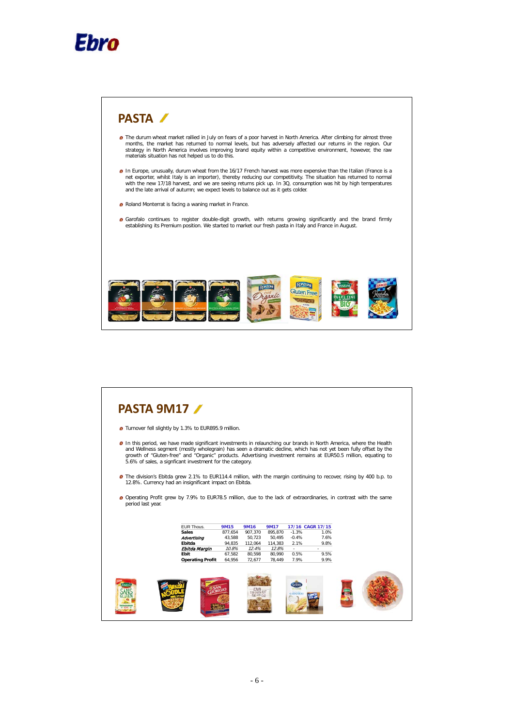



# **PASTA 9M17**

- **O** Turnover fell slightly by 1.3% to EUR895.9 million.
- **O** In this period, we have made significant investments in relaunching our brands in North America, where the Health and Wellness segment (mostly wholegrain) has seen a dramatic decline, which has not yet been fully offset by the<br>growth of "Gluten-free" and "Organic" products. Advertising investment remains at EUR50.5 million, equating t
- The division's Ebitda grew 2.1% to EUR114.4 million, with the margin continuing to recover, rising by 400 b.p. to 12.8%. Currency had an insignificant impact on Ebitda.
- Operating Profit grew by 7.9% to EUR78.5 million, due to the lack of extraordinaries, in contrast with the same period last year.

| <b>EUR Thous.</b><br><b>Sales</b><br>Advertising<br>Ebitda<br>Ebitda Margin<br>Ebit | <b>9M15</b><br>877,654<br>43,588<br>94,835<br>10.8%<br>67,582 | <b>9M16</b><br>907,370<br>50,723<br>112,064<br>12.4%<br>80,598 | <b>9M17</b><br>895,870<br>50,495<br>114,383<br>12.8%<br>80,990 | $-1.3%$<br>$-0.4%$<br>2.1%<br>$\sim$<br>0.5% | 17/16 CAGR 17/15<br>1.0%<br>7.6%<br>9.8%<br>9.5% |  |
|-------------------------------------------------------------------------------------|---------------------------------------------------------------|----------------------------------------------------------------|----------------------------------------------------------------|----------------------------------------------|--------------------------------------------------|--|
| <b>Operating Profit</b>                                                             | 64,956                                                        | 72,677                                                         | 78,449                                                         | 7.9%                                         | 9.9%                                             |  |
|                                                                                     |                                                               |                                                                |                                                                | CARNARO                                      |                                                  |  |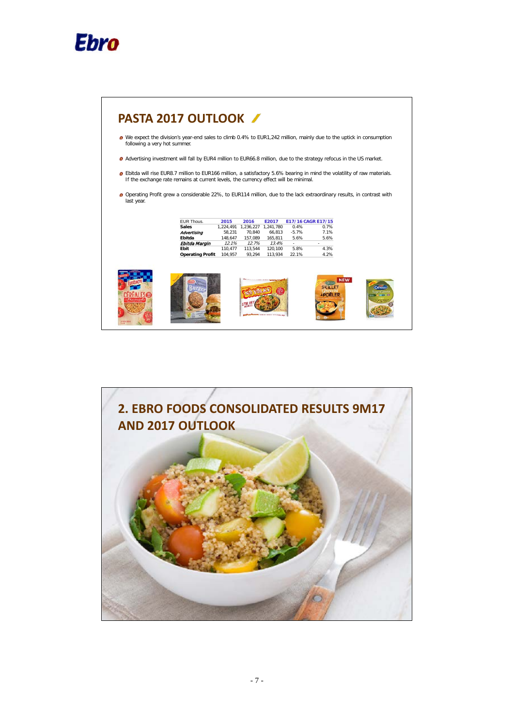

| <b>O</b> Advertising investment will fall by EUR4 million to EUR66.8 million, due to the strategy refocus in the US market.<br><b>O</b> Ebitda will rise EUR8.7 million to EUR166 million, a satisfactory 5.6% bearing in mind the volatility of raw materials.<br>If the exchange rate remains at current levels, the currency effect will be minimal.<br><b>O</b> Operating Profit grew a considerable 22%, to EUR114 million, due to the lack extraordinary results, in contrast with<br>EUR Thous.<br><b>Sales</b> | 2015<br>1,224,491 | 2016                    | E2017               |          |                            |  |
|------------------------------------------------------------------------------------------------------------------------------------------------------------------------------------------------------------------------------------------------------------------------------------------------------------------------------------------------------------------------------------------------------------------------------------------------------------------------------------------------------------------------|-------------------|-------------------------|---------------------|----------|----------------------------|--|
|                                                                                                                                                                                                                                                                                                                                                                                                                                                                                                                        |                   |                         |                     |          |                            |  |
|                                                                                                                                                                                                                                                                                                                                                                                                                                                                                                                        |                   |                         |                     |          |                            |  |
|                                                                                                                                                                                                                                                                                                                                                                                                                                                                                                                        |                   |                         |                     |          |                            |  |
|                                                                                                                                                                                                                                                                                                                                                                                                                                                                                                                        |                   |                         |                     |          |                            |  |
|                                                                                                                                                                                                                                                                                                                                                                                                                                                                                                                        |                   |                         |                     |          |                            |  |
|                                                                                                                                                                                                                                                                                                                                                                                                                                                                                                                        |                   |                         |                     |          |                            |  |
|                                                                                                                                                                                                                                                                                                                                                                                                                                                                                                                        |                   |                         |                     |          |                            |  |
|                                                                                                                                                                                                                                                                                                                                                                                                                                                                                                                        |                   |                         |                     |          |                            |  |
|                                                                                                                                                                                                                                                                                                                                                                                                                                                                                                                        |                   |                         | 1,236,227 1,241,780 | 0.4%     | E17/16 CAGR E17/15<br>0.7% |  |
|                                                                                                                                                                                                                                                                                                                                                                                                                                                                                                                        | 58,231            | 70,840                  | 66,813              | $-5.7%$  | 7.1%                       |  |
| Advertising<br>Ebitda                                                                                                                                                                                                                                                                                                                                                                                                                                                                                                  | 148.647           | 157.089                 | 165.811             | 5.6%     | 5.6%                       |  |
| Ebitda Margin                                                                                                                                                                                                                                                                                                                                                                                                                                                                                                          | 12.1%             | 12.7%                   | 13.4%               | $\omega$ |                            |  |
| Ebit                                                                                                                                                                                                                                                                                                                                                                                                                                                                                                                   | 110,477           | 113,544                 | 120,100             | 5.8%     | 4.3%                       |  |
|                                                                                                                                                                                                                                                                                                                                                                                                                                                                                                                        | 104,957           | 93,294                  | 113,934             | 22.1%    | 4.2%                       |  |
|                                                                                                                                                                                                                                                                                                                                                                                                                                                                                                                        |                   |                         |                     |          |                            |  |
|                                                                                                                                                                                                                                                                                                                                                                                                                                                                                                                        |                   |                         |                     |          |                            |  |
|                                                                                                                                                                                                                                                                                                                                                                                                                                                                                                                        |                   |                         |                     |          |                            |  |
|                                                                                                                                                                                                                                                                                                                                                                                                                                                                                                                        |                   |                         |                     |          | <b>NEW</b>                 |  |
|                                                                                                                                                                                                                                                                                                                                                                                                                                                                                                                        |                   |                         |                     |          |                            |  |
|                                                                                                                                                                                                                                                                                                                                                                                                                                                                                                                        |                   |                         |                     |          |                            |  |
|                                                                                                                                                                                                                                                                                                                                                                                                                                                                                                                        |                   |                         |                     |          | <b>IPOFIFI</b>             |  |
|                                                                                                                                                                                                                                                                                                                                                                                                                                                                                                                        |                   | <b>Operating Profit</b> |                     |          |                            |  |

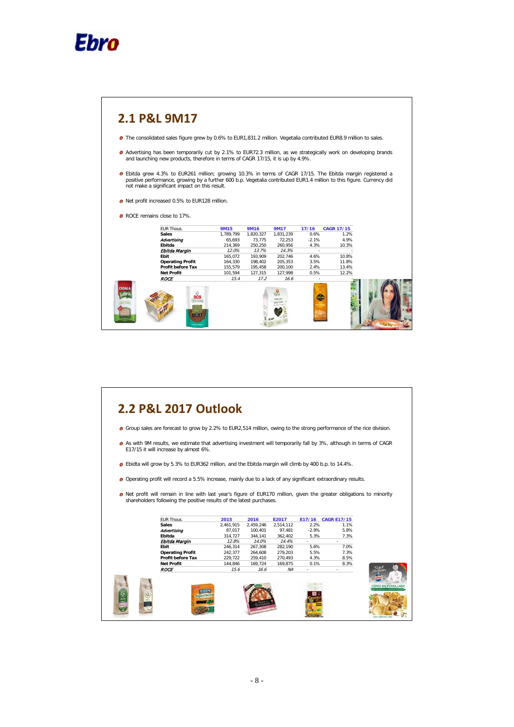



# **2.2 P&L 2017 Outlook**

- **O** Group sales are forecast to grow by 2.2% to EUR2,514 million, owing to the strong performance of the rice division.
- As with 9M results, we estimate that advertising investment will temporarily fall by 3%, although in terms of CAGR E17/15 it will increase by almost 6%.
- Ebidta will grow by 5.3% to EUR362 million, and the Ebitda margin will climb by 400 b.p. to 14.4%.
- Operating profit will record a 5.5% increase, mainly due to a lack of any significant extraordinary results.
- o Net profit will remain in line with last year's figure of EUR170 million, given the greater obligations to minority shareholders following the positive results of the latest purchases.

|   | EUR Thous.               | 2015      | 2016      | E2017     | E17/16  | <b>CAGR E17/15</b> |  |
|---|--------------------------|-----------|-----------|-----------|---------|--------------------|--|
|   | <b>Sales</b>             | 2,461,915 | 2,459,246 | 2,514,112 | 2.2%    | 1.1%               |  |
|   | Advertising              | 87.017    | 100.401   | 97,481    | $-2.9%$ | 5.8%               |  |
|   | Ebitda                   | 314,727   | 344,141   | 362,402   | 5.3%    | 7.3%               |  |
|   | Ebitda Margin            | 12.8%     | 14.0%     | 14.4%     |         |                    |  |
|   | Ebit                     | 246,314   | 267,308   | 282,190   | 5.6%    | 7.0%               |  |
|   | <b>Operating Profit</b>  | 242,377   | 264,608   | 279,203   | 5.5%    | 7.3%               |  |
|   | <b>Profit before Tax</b> | 229,722   | 259,410   | 270,493   | 4.3%    | 8.5%               |  |
|   | <b>Net Profit</b>        | 144.846   | 169.724   | 169.875   | 0.1%    | 8.3%               |  |
|   | <b>ROCE</b>              | 15.6      | 16.6      | ΝA        | ٠       |                    |  |
| G |                          |           |           |           |         |                    |  |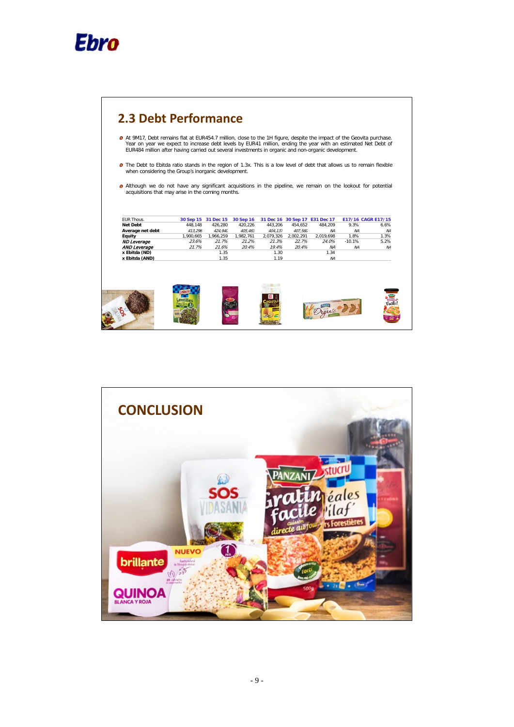

 $\overline{1}$ 

| <b>O</b> Although we do not have any significant acquisitions in the pipeline, we remain on the lookout for potential |                                                   |                     |           |         |                     |                                |                    |                |
|-----------------------------------------------------------------------------------------------------------------------|---------------------------------------------------|---------------------|-----------|---------|---------------------|--------------------------------|--------------------|----------------|
|                                                                                                                       |                                                   |                     |           |         |                     |                                |                    |                |
|                                                                                                                       | acquisitions that may arise in the coming months. |                     |           |         |                     |                                |                    |                |
|                                                                                                                       |                                                   |                     |           |         |                     |                                |                    |                |
|                                                                                                                       |                                                   |                     |           |         |                     |                                |                    |                |
|                                                                                                                       |                                                   |                     |           |         |                     |                                |                    |                |
| <b>EUR Thous.</b>                                                                                                     |                                                   | 30 Sep 15 31 Dec 15 | 30 Sep 16 |         |                     | 31 Dec 16 30 Sep 17 E31 Dec 17 | E17/16 CAGR E17/15 |                |
| <b>Net Debt</b>                                                                                                       | 448.148                                           | 426.280             | 420.226   | 443.206 | 454.652             | 484.209                        | 9.3%               | 6.6%           |
| Average net debt                                                                                                      | 413.296                                           | 424.940             | 405.463   | 404.137 | 407.560             | <b>NA</b>                      | <b>NA</b>          | N <sub>A</sub> |
| Equity                                                                                                                | 1,900,665                                         | 1,966,259           | 1,982,761 |         | 2,079,326 2,002,291 | 2,019,698                      | 1.8%               | 1.3%           |
| <b>ND Leverage</b>                                                                                                    | 23.6%                                             | 21.7%               | 21.2%     | 21.3%   | 22.7%               | 24.0%                          | $-10.1%$           | 5.2%           |
|                                                                                                                       |                                                   | 21.6%               | 20.4%     | 19.4%   | 20.4%               | <b>NA</b>                      | <b>NA</b>          | <b>NA</b>      |
| AND Leverage                                                                                                          | 21.7%                                             |                     |           |         |                     |                                |                    |                |
| x Ebitda (ND)                                                                                                         |                                                   | 1.35                |           | 1.30    |                     | 1.34                           |                    |                |
| x Ebitda (AND)                                                                                                        |                                                   | 1.35                |           | 1.19    |                     | <b>NA</b>                      |                    |                |

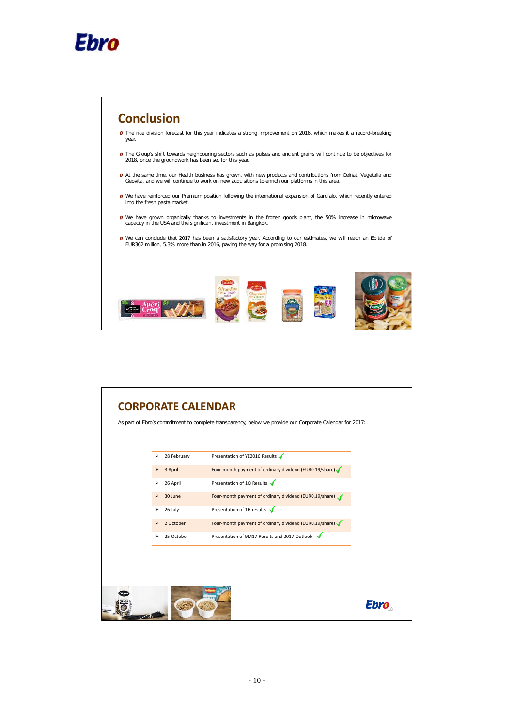

 $\overline{1}$ 



| As part of Ebro's commitment to complete transparency, below we provide our Corporate Calendar for 2017:<br>Presentation of YE2016 Results √<br>28 February<br>⋗<br>Four-month payment of ordinary dividend (EURO.19/share)<br>3 April<br>⋗<br>Presentation of 1Q Results<br>26 April<br>⋗<br>Four-month payment of ordinary dividend (EURO.19/share)<br>30 June<br>⋗<br>Presentation of 1H results $\sqrt$<br>⋗<br>26 July<br>Four-month payment of ordinary dividend (EUR0.19/share)<br>2 October<br>⋗<br>Presentation of 9M17 Results and 2017 Outlook<br>25 October<br>⋗ |  | <b>CORPORATE CALENDAR</b> |  |
|------------------------------------------------------------------------------------------------------------------------------------------------------------------------------------------------------------------------------------------------------------------------------------------------------------------------------------------------------------------------------------------------------------------------------------------------------------------------------------------------------------------------------------------------------------------------------|--|---------------------------|--|
|                                                                                                                                                                                                                                                                                                                                                                                                                                                                                                                                                                              |  |                           |  |
|                                                                                                                                                                                                                                                                                                                                                                                                                                                                                                                                                                              |  |                           |  |
|                                                                                                                                                                                                                                                                                                                                                                                                                                                                                                                                                                              |  |                           |  |
|                                                                                                                                                                                                                                                                                                                                                                                                                                                                                                                                                                              |  |                           |  |
|                                                                                                                                                                                                                                                                                                                                                                                                                                                                                                                                                                              |  |                           |  |
|                                                                                                                                                                                                                                                                                                                                                                                                                                                                                                                                                                              |  |                           |  |
|                                                                                                                                                                                                                                                                                                                                                                                                                                                                                                                                                                              |  |                           |  |
|                                                                                                                                                                                                                                                                                                                                                                                                                                                                                                                                                                              |  |                           |  |
|                                                                                                                                                                                                                                                                                                                                                                                                                                                                                                                                                                              |  |                           |  |
|                                                                                                                                                                                                                                                                                                                                                                                                                                                                                                                                                                              |  |                           |  |
|                                                                                                                                                                                                                                                                                                                                                                                                                                                                                                                                                                              |  |                           |  |
|                                                                                                                                                                                                                                                                                                                                                                                                                                                                                                                                                                              |  |                           |  |
|                                                                                                                                                                                                                                                                                                                                                                                                                                                                                                                                                                              |  |                           |  |
| EDI                                                                                                                                                                                                                                                                                                                                                                                                                                                                                                                                                                          |  |                           |  |